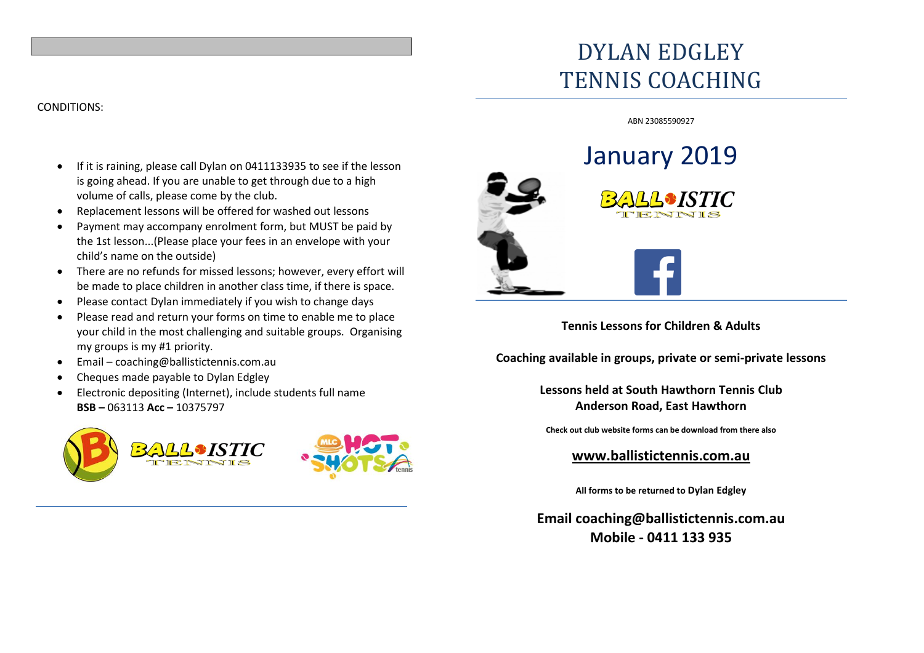# DYLAN EDGLEY TENNIS COACHING

#### ABN 23085590927

## • If it is raining, please call Dylan on 0411133935 to see if the lesson is going ahead. If you are unable to get through due to a high volume of calls, please come by the club.

- Replacement lessons will be offered for washed out lessons
- Payment may accompany enrolment form, but MUST be paid by the 1st lesson...(Please place your fees in an envelope with your child's name on the outside)
- There are no refunds for missed lessons; however, every effort will be made to place children in another class time, if there is space.
- Please contact Dylan immediately if you wish to change days
- Please read and return your forms on time to enable me to place your child in the most challenging and suitable groups. Organising my groups is my #1 priority.
- Email coaching@ballistictennis.com.au
- Cheques made payable to Dylan Edgley
- Electronic depositing (Internet), include students full name **BSB –** 063113 **Acc –** 10375797





**Tennis Lessons for Children & Adults**

**Coaching available in groups, private or semi-private lessons**

**Lessons held at South Hawthorn Tennis Club Anderson Road, East Hawthorn**

**Check out club website forms can be download from there also**

**www.ballistictennis.com.au**

**All forms to be returned to Dylan Edgley**

**Email coaching@ballistictennis.com.au Mobile - 0411 133 935**

## CONDITIONS: